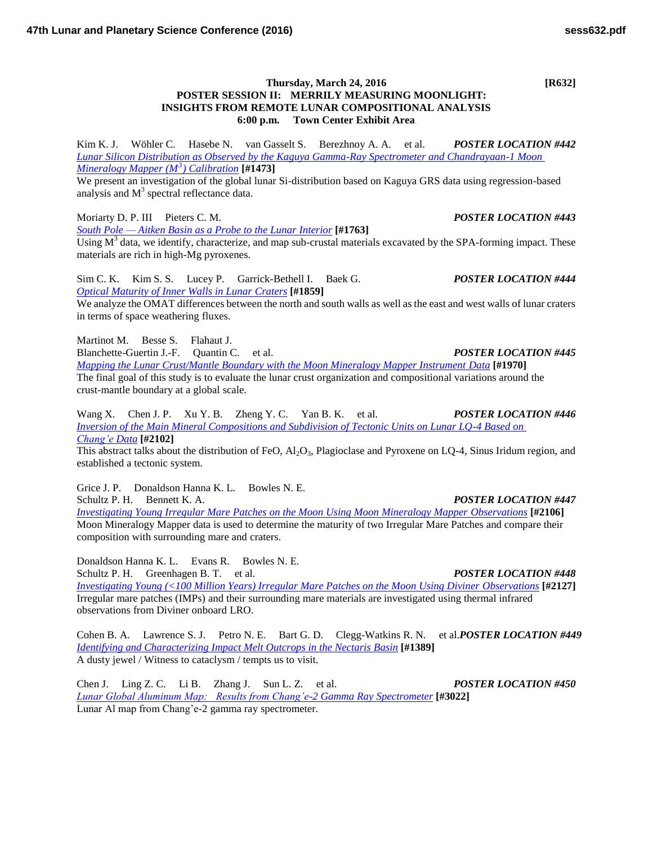Kim K. J. Wöhler C. Hasebe N. van Gasselt S. Berezhnoy A. A. et al. *POSTER LOCATION #442 [Lunar Silicon Distribution as Observed by the Kaguya Gamma-Ray Spectrometer and Chandrayaan-1 Moon](http://www.hou.usra.edu/meetings/lpsc2016/pdf/1473.pdf)* 

**POSTER SESSION II: MERRILY MEASURING MOONLIGHT: INSIGHTS FROM REMOTE LUNAR COMPOSITIONAL ANALYSIS 6:00 p.m. Town Center Exhibit Area**

*[Mineralogy Mapper \(M](http://www.hou.usra.edu/meetings/lpsc2016/pdf/1473.pdf)<sup>3</sup> ) Calibration* **[#1473]**

We present an investigation of the global lunar Si-distribution based on Kaguya GRS data using regression-based analysis and  $M<sup>3</sup>$  spectral reflectance data.

Moriarty D. P. III Pieters C. M. *POSTER LOCATION #443*

*[South Pole — Aitken Basin as a Probe to the Lunar Interior](http://www.hou.usra.edu/meetings/lpsc2016/pdf/1763.pdf)* **[#1763]**

Using  $M<sup>3</sup>$  data, we identify, characterize, and map sub-crustal materials excavated by the SPA-forming impact. These materials are rich in high-Mg pyroxenes.

Sim C. K. Kim S. S. Lucey P. Garrick-Bethell I. Baek G. *POSTER LOCATION #444 [Optical Maturity of Inner Walls in Lunar Craters](http://www.hou.usra.edu/meetings/lpsc2016/pdf/1859.pdf)* **[#1859]**

We analyze the OMAT differences between the north and south walls as well as the east and west walls of lunar craters in terms of space weathering fluxes.

Martinot M. Besse S. Flahaut J.

Blanchette-Guertin J.-F. Quantin C. et al. *POSTER LOCATION #445*

*[Mapping the Lunar Crust/Mantle Boundary with the Moon Mineralogy Mapper Instrument Data](http://www.hou.usra.edu/meetings/lpsc2016/pdf/1970.pdf)* **[#1970]** The final goal of this study is to evaluate the lunar crust organization and compositional variations around the crust-mantle boundary at a global scale.

Wang X. Chen J. P. Xu Y. B. Zheng Y. C. Yan B. K. et al. *POSTER LOCATION #446 [Inversion of the Main Mineral Compositions and Subdivision of Tectonic Units on Lunar LQ-4 Based on](http://www.hou.usra.edu/meetings/lpsc2016/pdf/2102.pdf)  [Chang'e Data](http://www.hou.usra.edu/meetings/lpsc2016/pdf/2102.pdf)* **[#2102]**

This abstract talks about the distribution of FeO,  $Al_2O_3$ , Plagioclase and Pyroxene on LQ-4, Sinus Iridum region, and established a tectonic system.

Grice J. P. Donaldson Hanna K. L. Bowles N. E.

Schultz P. H. Bennett K. A. *POSTER LOCATION #447 [Investigating Young Irregular Mare Patches on the Moon Using Moon Mineralogy Mapper Observations](http://www.hou.usra.edu/meetings/lpsc2016/pdf/2106.pdf)* **[#2106]** Moon Mineralogy Mapper data is used to determine the maturity of two Irregular Mare Patches and compare their composition with surrounding mare and craters.

Donaldson Hanna K. L. Evans R. Bowles N. E. Schultz P. H. Greenhagen B. T. et al. *POSTER LOCATION #448*

*[Investigating Young \(<100 Million Years\) Irregular Mare Patches on the Moon Using Diviner Observations](http://www.hou.usra.edu/meetings/lpsc2016/pdf/2127.pdf)* **[#2127]** Irregular mare patches (IMPs) and their surrounding mare materials are investigated using thermal infrared observations from Diviner onboard LRO.

Cohen B. A. Lawrence S. J. Petro N. E. Bart G. D. Clegg-Watkins R. N. et al.*POSTER LOCATION #449 [Identifying and Characterizing Impact Melt Outcrops in the Nectaris Basin](http://www.hou.usra.edu/meetings/lpsc2016/pdf/1389.pdf)* **[#1389]** A dusty jewel / Witness to cataclysm / tempts us to visit.

Chen J. Ling Z. C. Li B. Zhang J. Sun L. Z. et al. *POSTER LOCATION #450 [Lunar Global Aluminum Map: Results from Chang'e-2 Gamma Ray Spectrometer](http://www.hou.usra.edu/meetings/lpsc2016/pdf/3022.pdf)* **[#3022]** Lunar Al map from Chang'e-2 gamma ray spectrometer.

**Thursday, March 24, 2016 [R632]**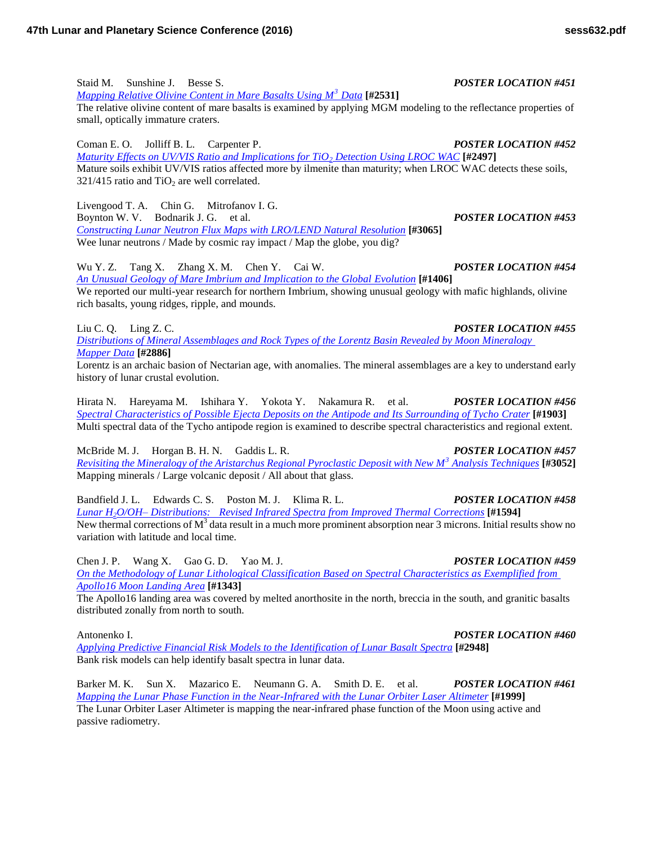Staid M. Sunshine J. Besse S. *POSTER LOCATION #451 [Mapping Relative Olivine Content in Mare Basalts Using M](http://www.hou.usra.edu/meetings/lpsc2016/pdf/2531.pdf)<sup>3</sup> Data* **[#2531]** The relative olivine content of mare basalts is examined by applying MGM modeling to the reflectance properties of small, optically immature craters. Coman E. O. Jolliff B. L. Carpenter P. *POSTER LOCATION #452 [Maturity Effects on UV/VIS Ratio and Implications for TiO](http://www.hou.usra.edu/meetings/lpsc2016/pdf/2497.pdf)2 Detection Using LROC WAC* **[#2497]** Mature soils exhibit UV/VIS ratios affected more by ilmenite than maturity; when LROC WAC detects these soils,  $321/415$  ratio and TiO<sub>2</sub> are well correlated. Livengood T. A. Chin G. Mitrofanov I. G. Boynton W. V. Bodnarik J. G. et al. *POSTER LOCATION #453 [Constructing Lunar Neutron Flux Maps with LRO/LEND Natural Resolution](http://www.hou.usra.edu/meetings/lpsc2016/pdf/3065.pdf)* **[#3065]** Wee lunar neutrons / Made by cosmic ray impact / Map the globe, you dig? Wu Y. Z. Tang X. Zhang X. M. Chen Y. Cai W. *POSTER LOCATION #454 [An Unusual Geology of Mare Imbrium and Implication to the Global Evolution](http://www.hou.usra.edu/meetings/lpsc2016/pdf/1406.pdf)* **[#1406]** We reported our multi-year research for northern Imbrium, showing unusual geology with mafic highlands, olivine rich basalts, young ridges, ripple, and mounds.

Liu C. Q. Ling Z. C. *POSTER LOCATION #455 [Distributions of Mineral Assemblages and Rock Types of the Lorentz Basin Revealed by Moon Mineralogy](http://www.hou.usra.edu/meetings/lpsc2016/pdf/2886.pdf)* 

*[Mapper Data](http://www.hou.usra.edu/meetings/lpsc2016/pdf/2886.pdf)* **[#2886]** Lorentz is an archaic basion of Nectarian age, with anomalies. The mineral assemblages are a key to understand early history of lunar crustal evolution.

Hirata N. Hareyama M. Ishihara Y. Yokota Y. Nakamura R. et al. *POSTER LOCATION #456 [Spectral Characteristics of Possible Ejecta Deposits on the Antipode and Its Surrounding of Tycho Crater](http://www.hou.usra.edu/meetings/lpsc2016/pdf/1903.pdf)* **[#1903]** Multi spectral data of the Tycho antipode region is examined to describe spectral characteristics and regional extent.

McBride M. J. Horgan B. H. N. Gaddis L. R. *POSTER LOCATION #457 [Revisiting the Mineralogy of the Aristarchus Regional Pyroclastic Deposit with New M](http://www.hou.usra.edu/meetings/lpsc2016/pdf/3052.pdf)<sup>3</sup> Analysis Techniques* **[#3052]** Mapping minerals / Large volcanic deposit / All about that glass.

Bandfield J. L. Edwards C. S. Poston M. J. Klima R. L. *POSTER LOCATION #458 Lunar H2[O/OH– Distributions: Revised Infrared Spectra from Improved Thermal Corrections](http://www.hou.usra.edu/meetings/lpsc2016/pdf/1594.pdf)* **[#1594]** New thermal corrections of  $M<sup>3</sup>$  data result in a much more prominent absorption near 3 microns. Initial results show no variation with latitude and local time.

Chen J. P. Wang X. Gao G. D. Yao M. J. *POSTER LOCATION #459 [On the Methodology of Lunar Lithological Classification Based on Spectral Characteristics as Exemplified from](http://www.hou.usra.edu/meetings/lpsc2016/pdf/1343.pdf)  [Apollo16 Moon Landing Area](http://www.hou.usra.edu/meetings/lpsc2016/pdf/1343.pdf)* **[#1343]**

The Apollo16 landing area was covered by melted anorthosite in the north, breccia in the south, and granitic basalts distributed zonally from north to south.

Antonenko I. *POSTER LOCATION #460*

*[Applying Predictive Financial Risk Models to the Identification of Lunar Basalt Spectra](http://www.hou.usra.edu/meetings/lpsc2016/pdf/2948.pdf)* **[#2948]** Bank risk models can help identify basalt spectra in lunar data.

Barker M. K. Sun X. Mazarico E. Neumann G. A. Smith D. E. et al. *POSTER LOCATION #461 [Mapping the Lunar Phase Function in the Near-Infrared with the Lunar Orbiter Laser Altimeter](http://www.hou.usra.edu/meetings/lpsc2016/pdf/1999.pdf)* **[#1999]** The Lunar Orbiter Laser Altimeter is mapping the near-infrared phase function of the Moon using active and passive radiometry.